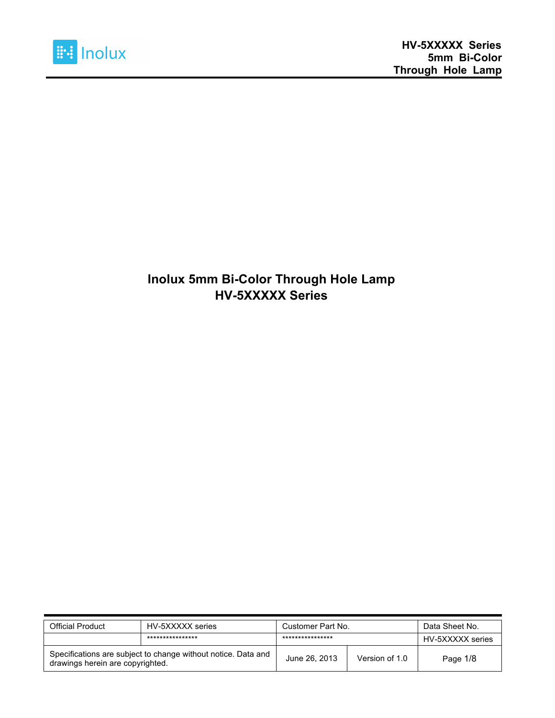

#### **Inolux 5mm Bi-Color Through Hole Lamp HV-5XXXXX Series**

| <b>Official Product</b>                                                                           | HV-5XXXXX series | Customer Part No. | Data Sheet No. |                  |
|---------------------------------------------------------------------------------------------------|------------------|-------------------|----------------|------------------|
|                                                                                                   | **************** | ****************  |                | HV-5XXXXX series |
| Specifications are subject to change without notice. Data and<br>drawings herein are copyrighted. |                  | June 26, 2013     | Version of 1.0 | Page 1/8         |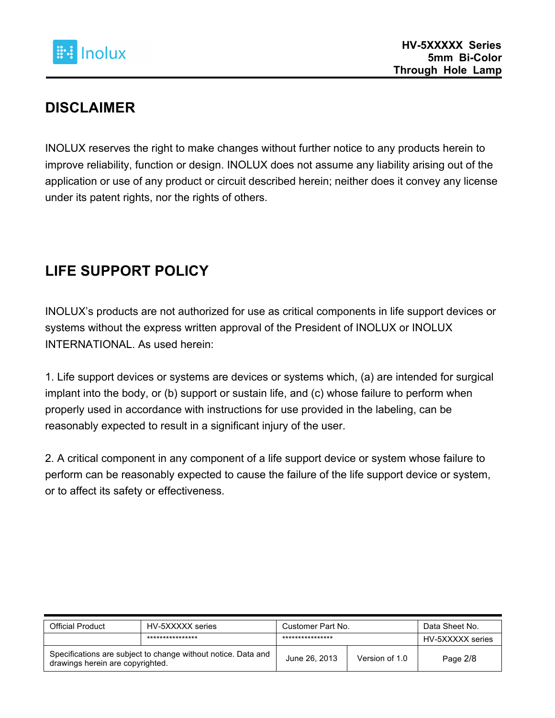

#### **DISCLAIMER**

INOLUX reserves the right to make changes without further notice to any products herein to improve reliability, function or design. INOLUX does not assume any liability arising out of the application or use of any product or circuit described herein; neither does it convey any license under its patent rights, nor the rights of others.

## **LIFE SUPPORT POLICY**

INOLUX's products are not authorized for use as critical components in life support devices or systems without the express written approval of the President of INOLUX or INOLUX INTERNATIONAL. As used herein:

1. Life support devices or systems are devices or systems which, (a) are intended for surgical implant into the body, or (b) support or sustain life, and (c) whose failure to perform when properly used in accordance with instructions for use provided in the labeling, can be reasonably expected to result in a significant injury of the user.

2. A critical component in any component of a life support device or system whose failure to perform can be reasonably expected to cause the failure of the life support device or system, or to affect its safety or effectiveness.

| Official Product                                                                                  | HV-5XXXXX series | Customer Part No. | Data Sheet No. |                  |
|---------------------------------------------------------------------------------------------------|------------------|-------------------|----------------|------------------|
|                                                                                                   | **************** | ****************  |                | HV-5XXXXX series |
| Specifications are subject to change without notice. Data and<br>drawings herein are copyrighted. |                  | June 26, 2013     | Version of 1.0 | Page 2/8         |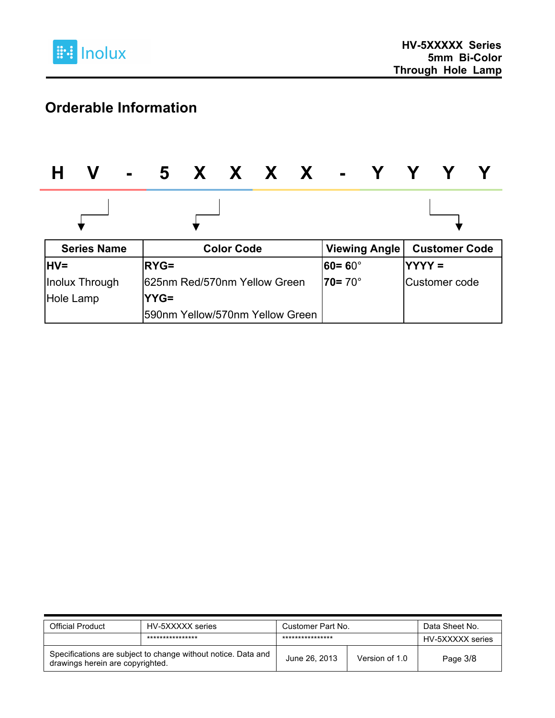

# **Orderable Information**

|             | V                  | - 5 X X X X - '                 |                   |  |                   |                      |                |                      |  |
|-------------|--------------------|---------------------------------|-------------------|--|-------------------|----------------------|----------------|----------------------|--|
|             |                    |                                 |                   |  |                   |                      |                |                      |  |
|             | <b>Series Name</b> |                                 | <b>Color Code</b> |  |                   | <b>Viewing Angle</b> |                | <b>Customer Code</b> |  |
| <b>IHV=</b> |                    | <b>RYG=</b>                     |                   |  | 60= 60 $^{\circ}$ |                      | <b>IYYYY =</b> |                      |  |
|             | Inolux Through     | 1625nm Red/570nm Yellow Green   |                   |  | $70 = 70^\circ$   |                      |                | Customer code        |  |
| Hole Lamp   |                    | $YYG=$                          |                   |  |                   |                      |                |                      |  |
|             |                    | 590nm Yellow/570nm Yellow Green |                   |  |                   |                      |                |                      |  |

| Official Product                                                                                  | HV-5XXXXX series | Customer Part No. | Data Sheet No. |                  |
|---------------------------------------------------------------------------------------------------|------------------|-------------------|----------------|------------------|
|                                                                                                   | **************** | ****************  |                | HV-5XXXXX series |
| Specifications are subject to change without notice. Data and<br>drawings herein are copyrighted. |                  | June 26, 2013     | Version of 1.0 | Page 3/8         |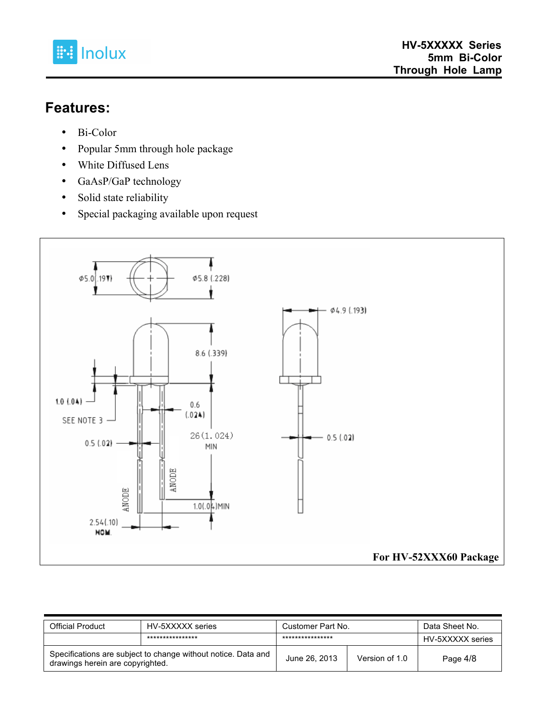

#### **Features:**

- Bi-Color
- Popular 5mm through hole package
- White Diffused Lens
- GaAsP/GaP technology
- Solid state reliability
- Special packaging available upon request



| <b>Official Product</b>                                                                           | HV-5XXXXX series | Customer Part No. |                | Data Sheet No.   |
|---------------------------------------------------------------------------------------------------|------------------|-------------------|----------------|------------------|
|                                                                                                   | **************** | ****************  |                | HV-5XXXXX series |
| Specifications are subject to change without notice. Data and<br>drawings herein are copyrighted. |                  | June 26, 2013     | Version of 1.0 | Page 4/8         |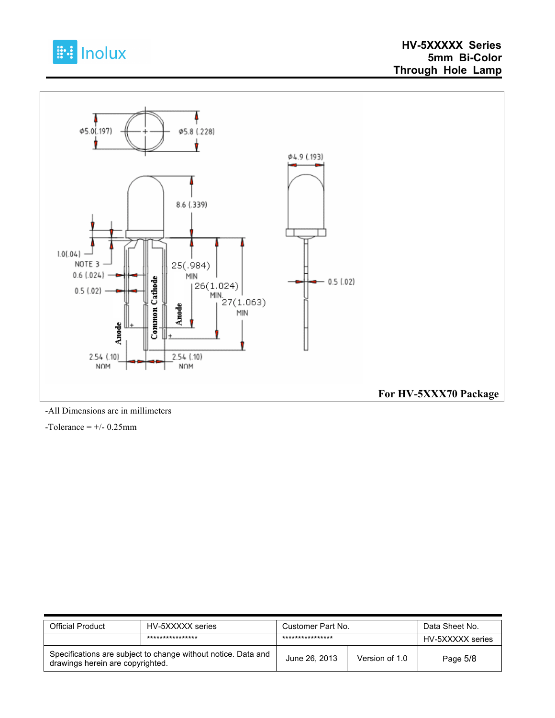



-All Dimensions are in millimeters

 $-Tolerance = +/- 0.25mm$ 

| Official Product                                                                                  | HV-5XXXXX series | Customer Part No. |                | Data Sheet No.   |
|---------------------------------------------------------------------------------------------------|------------------|-------------------|----------------|------------------|
|                                                                                                   | **************** | ****************  |                | HV-5XXXXX series |
| Specifications are subject to change without notice. Data and<br>drawings herein are copyrighted. |                  | June 26, 2013     | Version of 1.0 | Page 5/8         |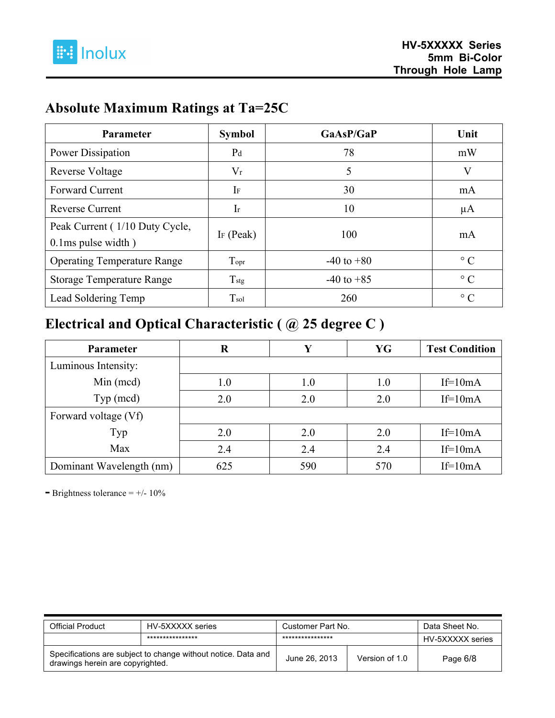

## **Absolute Maximum Ratings at Ta=25C**

| <b>Parameter</b>                                           | <b>Symbol</b>         | GaAsP/GaP      | Unit      |
|------------------------------------------------------------|-----------------------|----------------|-----------|
| Power Dissipation                                          | P <sub>d</sub>        | 78             | mW        |
| Reverse Voltage                                            | $V_r$                 | 5              | V         |
| <b>Forward Current</b>                                     | IF                    | 30             | mA        |
| <b>Reverse Current</b>                                     | $\rm{Ir}$             | 10             | $\mu$ A   |
| Peak Current (1/10 Duty Cycle,<br>$0.1$ ms pulse width $)$ | I <sub>F</sub> (Peak) | 100            | mA        |
| <b>Operating Temperature Range</b>                         | Topr                  | $-40$ to $+80$ | $\circ$ C |
| <b>Storage Temperature Range</b>                           | $T_{\text{stg}}$      | $-40$ to $+85$ | $\circ$ C |
| Lead Soldering Temp                                        | $T_{sol}$             | 260            | $\circ$ C |

## **Electrical and Optical Characteristic ( @ 25 degree C )**

| Parameter                | R   |     | YG  | <b>Test Condition</b> |
|--------------------------|-----|-----|-----|-----------------------|
| Luminous Intensity:      |     |     |     |                       |
| Min (mcd)                | 1.0 | 1.0 | 1.0 | $If=10mA$             |
| Typ (mcd)                | 2.0 | 2.0 | 2.0 | $If=10mA$             |
| Forward voltage (Vf)     |     |     |     |                       |
| Typ                      | 2.0 | 2.0 | 2.0 | $If=10mA$             |
| Max                      | 2.4 | 2.4 | 2.4 | $If=10mA$             |
| Dominant Wavelength (nm) | 625 | 590 | 570 | $If=10mA$             |

**-** Brightness tolerance = +/- 10%

| <b>Official Product</b>                                                                           | HV-5XXXXX series | Customer Part No. |                | Data Sheet No.   |  |
|---------------------------------------------------------------------------------------------------|------------------|-------------------|----------------|------------------|--|
|                                                                                                   | **************** | ****************  |                | HV-5XXXXX series |  |
| Specifications are subject to change without notice. Data and<br>drawings herein are copyrighted. |                  | June 26, 2013     | Version of 1.0 | Page 6/8         |  |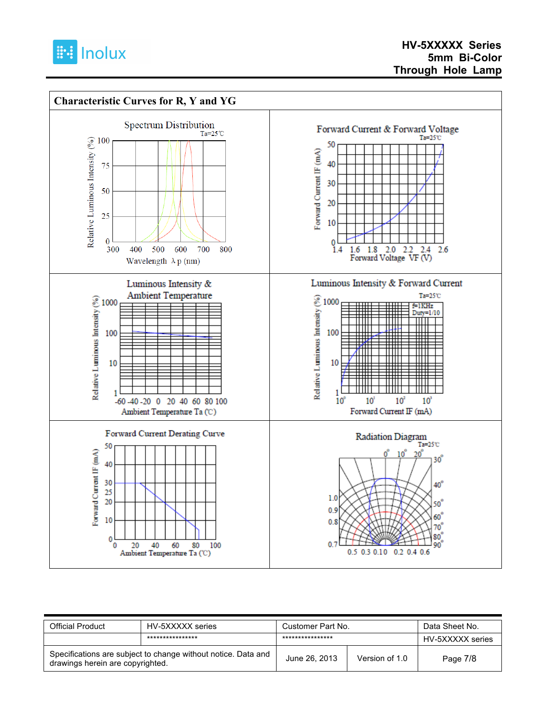



| <b>Official Product</b>                                                                           | HV-5XXXXX series | Customer Part No. |                | Data Sheet No.   |
|---------------------------------------------------------------------------------------------------|------------------|-------------------|----------------|------------------|
|                                                                                                   | **************** | ****************  |                | HV-5XXXXX series |
| Specifications are subject to change without notice. Data and<br>drawings herein are copyrighted. |                  | June 26, 2013     | Version of 1.0 | Page 7/8         |